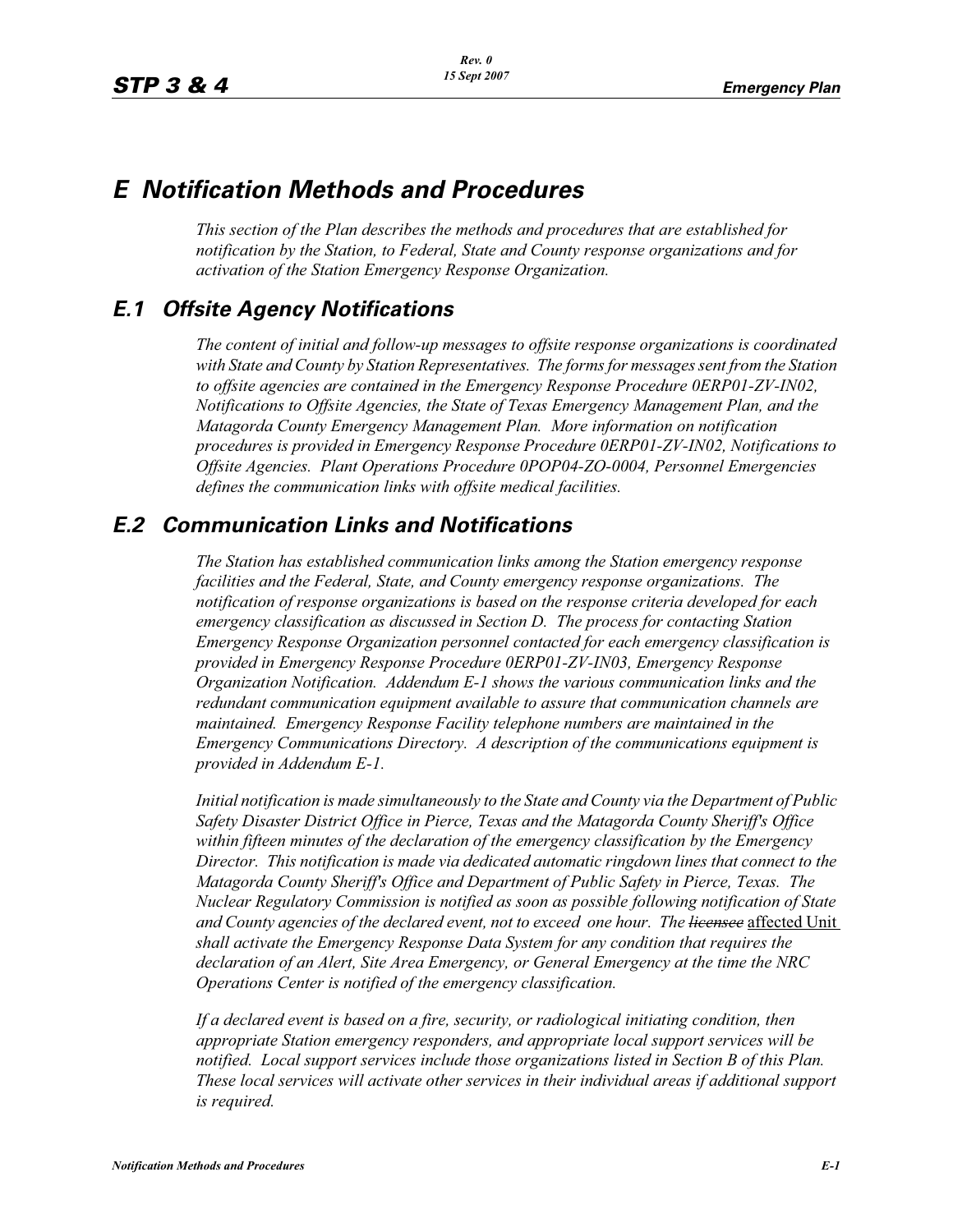# *E Notification Methods and Procedures*

*This section of the Plan describes the methods and procedures that are established for notification by the Station, to Federal, State and County response organizations and for activation of the Station Emergency Response Organization.*

## *E.1 Offsite Agency Notifications*

*The content of initial and follow-up messages to offsite response organizations is coordinated with State and County by Station Representatives. The forms for messages sent from the Station to offsite agencies are contained in the Emergency Response Procedure 0ERP01-ZV-IN02, Notifications to Offsite Agencies, the State of Texas Emergency Management Plan, and the Matagorda County Emergency Management Plan. More information on notification procedures is provided in Emergency Response Procedure 0ERP01-ZV-IN02, Notifications to Offsite Agencies. Plant Operations Procedure 0POP04-ZO-0004, Personnel Emergencies defines the communication links with offsite medical facilities.*

#### *E.2 Communication Links and Notifications*

*The Station has established communication links among the Station emergency response facilities and the Federal, State, and County emergency response organizations. The notification of response organizations is based on the response criteria developed for each emergency classification as discussed in Section D. The process for contacting Station Emergency Response Organization personnel contacted for each emergency classification is provided in Emergency Response Procedure 0ERP01-ZV-IN03, Emergency Response Organization Notification. Addendum E-1 shows the various communication links and the redundant communication equipment available to assure that communication channels are maintained. Emergency Response Facility telephone numbers are maintained in the Emergency Communications Directory. A description of the communications equipment is provided in Addendum E-1.*

*Initial notification is made simultaneously to the State and County via the Department of Public Safety Disaster District Office in Pierce, Texas and the Matagorda County Sheriff's Office within fifteen minutes of the declaration of the emergency classification by the Emergency Director. This notification is made via dedicated automatic ringdown lines that connect to the Matagorda County Sheriff's Office and Department of Public Safety in Pierce, Texas. The Nuclear Regulatory Commission is notified as soon as possible following notification of State and County agencies of the declared event, not to exceed one hour. The licensee* affected Unit *shall activate the Emergency Response Data System for any condition that requires the declaration of an Alert, Site Area Emergency, or General Emergency at the time the NRC Operations Center is notified of the emergency classification.*

*If a declared event is based on a fire, security, or radiological initiating condition, then appropriate Station emergency responders, and appropriate local support services will be notified. Local support services include those organizations listed in Section B of this Plan. These local services will activate other services in their individual areas if additional support is required.*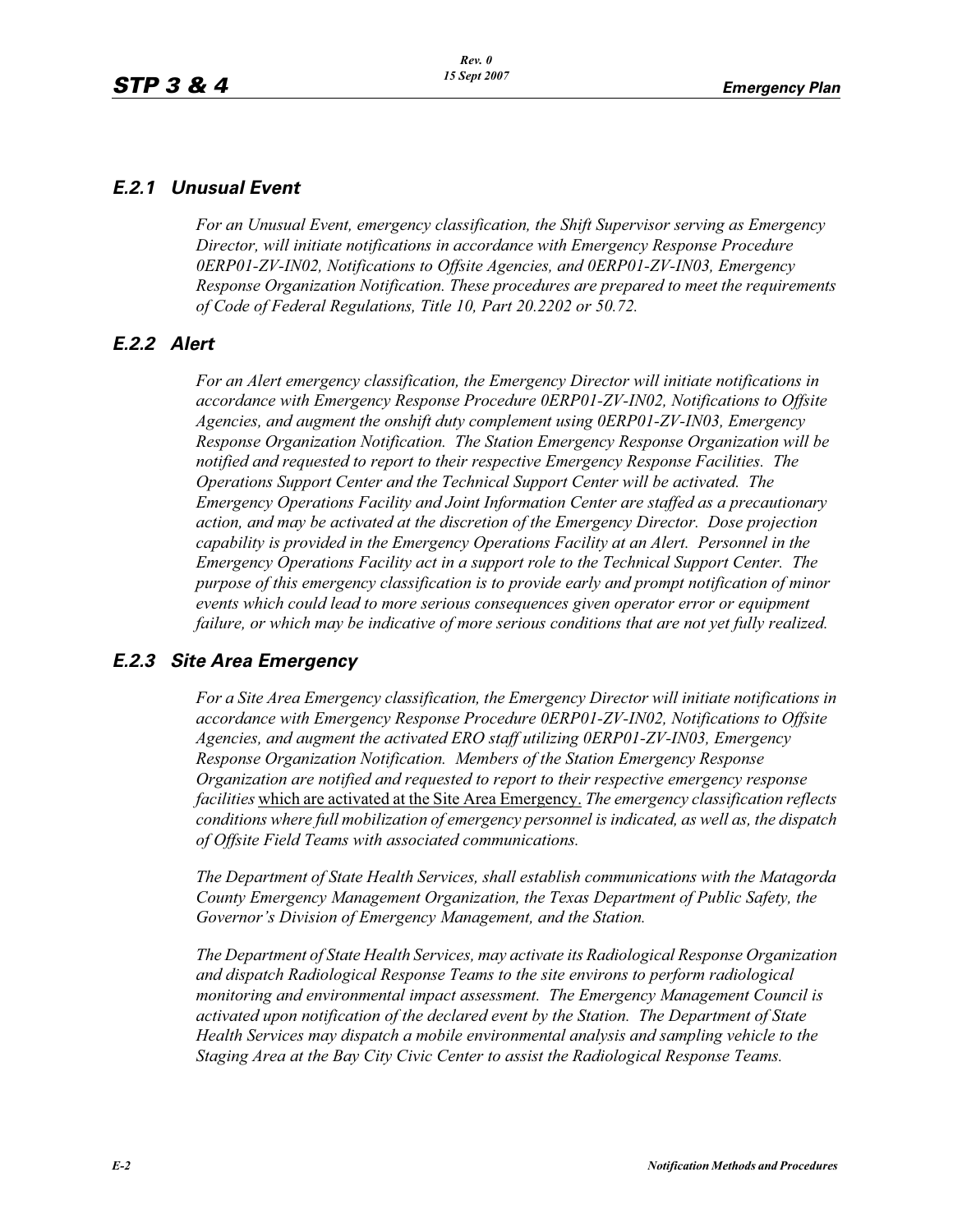#### *E.2.1 Unusual Event*

*For an Unusual Event, emergency classification, the Shift Supervisor serving as Emergency Director, will initiate notifications in accordance with Emergency Response Procedure 0ERP01-ZV-IN02, Notifications to Offsite Agencies, and 0ERP01-ZV-IN03, Emergency Response Organization Notification. These procedures are prepared to meet the requirements of Code of Federal Regulations, Title 10, Part 20.2202 or 50.72.*

#### *E.2.2 Alert*

*For an Alert emergency classification, the Emergency Director will initiate notifications in accordance with Emergency Response Procedure 0ERP01-ZV-IN02, Notifications to Offsite Agencies, and augment the onshift duty complement using 0ERP01-ZV-IN03, Emergency Response Organization Notification. The Station Emergency Response Organization will be notified and requested to report to their respective Emergency Response Facilities. The Operations Support Center and the Technical Support Center will be activated. The Emergency Operations Facility and Joint Information Center are staffed as a precautionary action, and may be activated at the discretion of the Emergency Director. Dose projection capability is provided in the Emergency Operations Facility at an Alert. Personnel in the Emergency Operations Facility act in a support role to the Technical Support Center. The purpose of this emergency classification is to provide early and prompt notification of minor events which could lead to more serious consequences given operator error or equipment failure, or which may be indicative of more serious conditions that are not yet fully realized.*

#### *E.2.3 Site Area Emergency*

*For a Site Area Emergency classification, the Emergency Director will initiate notifications in accordance with Emergency Response Procedure 0ERP01-ZV-IN02, Notifications to Offsite Agencies, and augment the activated ERO staff utilizing 0ERP01-ZV-IN03, Emergency Response Organization Notification. Members of the Station Emergency Response Organization are notified and requested to report to their respective emergency response facilities* which are activated at the Site Area Emergency. *The emergency classification reflects conditions where full mobilization of emergency personnel is indicated, as well as, the dispatch of Offsite Field Teams with associated communications.*

*The Department of State Health Services, shall establish communications with the Matagorda County Emergency Management Organization, the Texas Department of Public Safety, the Governor's Division of Emergency Management, and the Station.* 

*The Department of State Health Services, may activate its Radiological Response Organization and dispatch Radiological Response Teams to the site environs to perform radiological monitoring and environmental impact assessment. The Emergency Management Council is activated upon notification of the declared event by the Station. The Department of State Health Services may dispatch a mobile environmental analysis and sampling vehicle to the Staging Area at the Bay City Civic Center to assist the Radiological Response Teams.*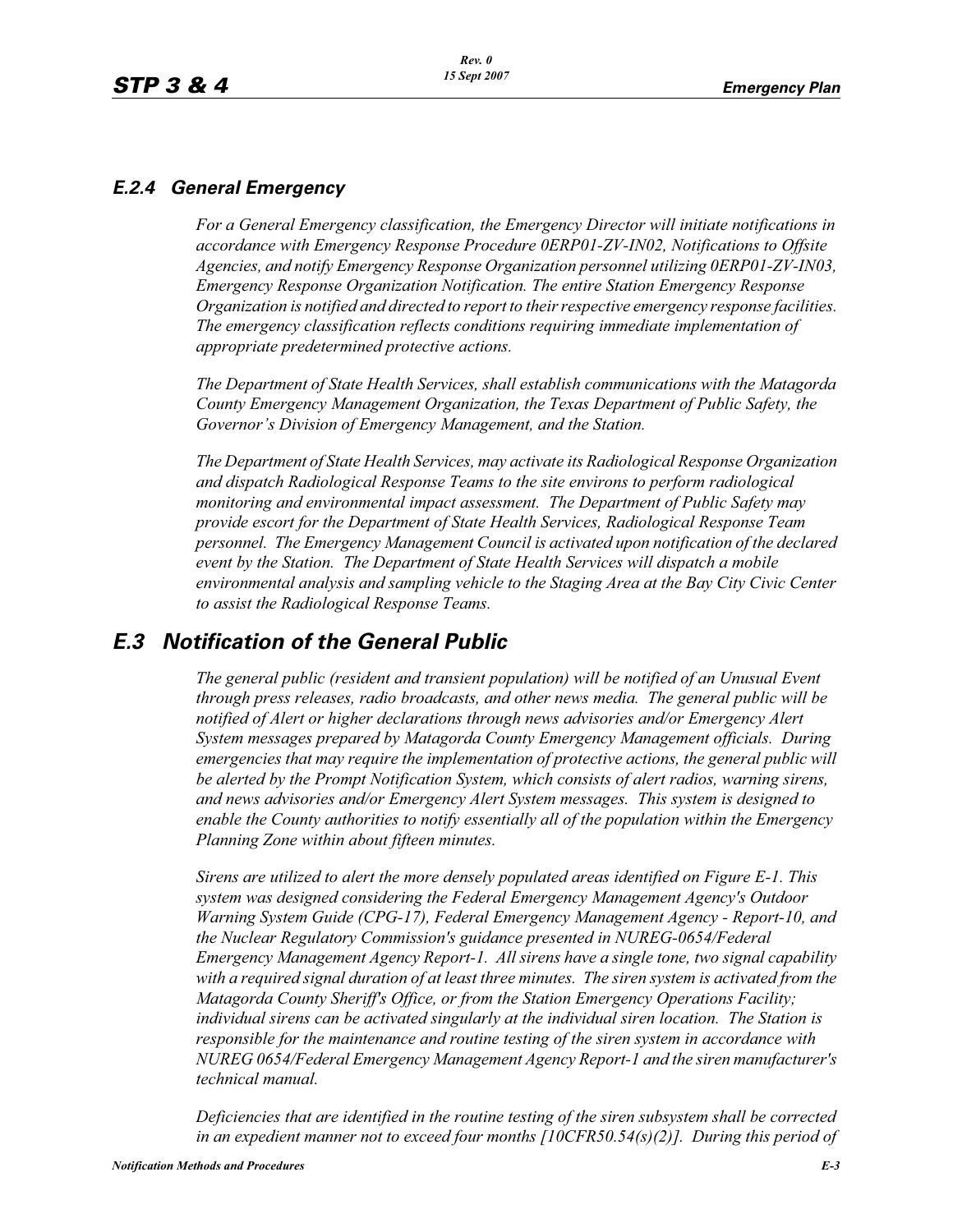#### *E.2.4 General Emergency*

*For a General Emergency classification, the Emergency Director will initiate notifications in accordance with Emergency Response Procedure 0ERP01-ZV-IN02, Notifications to Offsite Agencies, and notify Emergency Response Organization personnel utilizing 0ERP01-ZV-IN03, Emergency Response Organization Notification. The entire Station Emergency Response Organization is notified and directed to report to their respective emergency response facilities. The emergency classification reflects conditions requiring immediate implementation of appropriate predetermined protective actions.*

*The Department of State Health Services, shall establish communications with the Matagorda County Emergency Management Organization, the Texas Department of Public Safety, the Governor's Division of Emergency Management, and the Station.*

*The Department of State Health Services, may activate its Radiological Response Organization and dispatch Radiological Response Teams to the site environs to perform radiological monitoring and environmental impact assessment. The Department of Public Safety may provide escort for the Department of State Health Services, Radiological Response Team personnel. The Emergency Management Council is activated upon notification of the declared event by the Station. The Department of State Health Services will dispatch a mobile environmental analysis and sampling vehicle to the Staging Area at the Bay City Civic Center to assist the Radiological Response Teams.*

## *E.3 Notification of the General Public*

*The general public (resident and transient population) will be notified of an Unusual Event through press releases, radio broadcasts, and other news media. The general public will be notified of Alert or higher declarations through news advisories and/or Emergency Alert System messages prepared by Matagorda County Emergency Management officials. During emergencies that may require the implementation of protective actions, the general public will be alerted by the Prompt Notification System, which consists of alert radios, warning sirens, and news advisories and/or Emergency Alert System messages. This system is designed to enable the County authorities to notify essentially all of the population within the Emergency Planning Zone within about fifteen minutes.* 

*Sirens are utilized to alert the more densely populated areas identified on Figure E-1. This system was designed considering the Federal Emergency Management Agency's Outdoor Warning System Guide (CPG-17), Federal Emergency Management Agency - Report-10, and the Nuclear Regulatory Commission's guidance presented in NUREG-0654/Federal Emergency Management Agency Report-1. All sirens have a single tone, two signal capability with a required signal duration of at least three minutes. The siren system is activated from the Matagorda County Sheriff's Office, or from the Station Emergency Operations Facility; individual sirens can be activated singularly at the individual siren location. The Station is responsible for the maintenance and routine testing of the siren system in accordance with NUREG 0654/Federal Emergency Management Agency Report-1 and the siren manufacturer's technical manual.* 

*Deficiencies that are identified in the routine testing of the siren subsystem shall be corrected in an expedient manner not to exceed four months [10CFR50.54(s)(2)]. During this period of*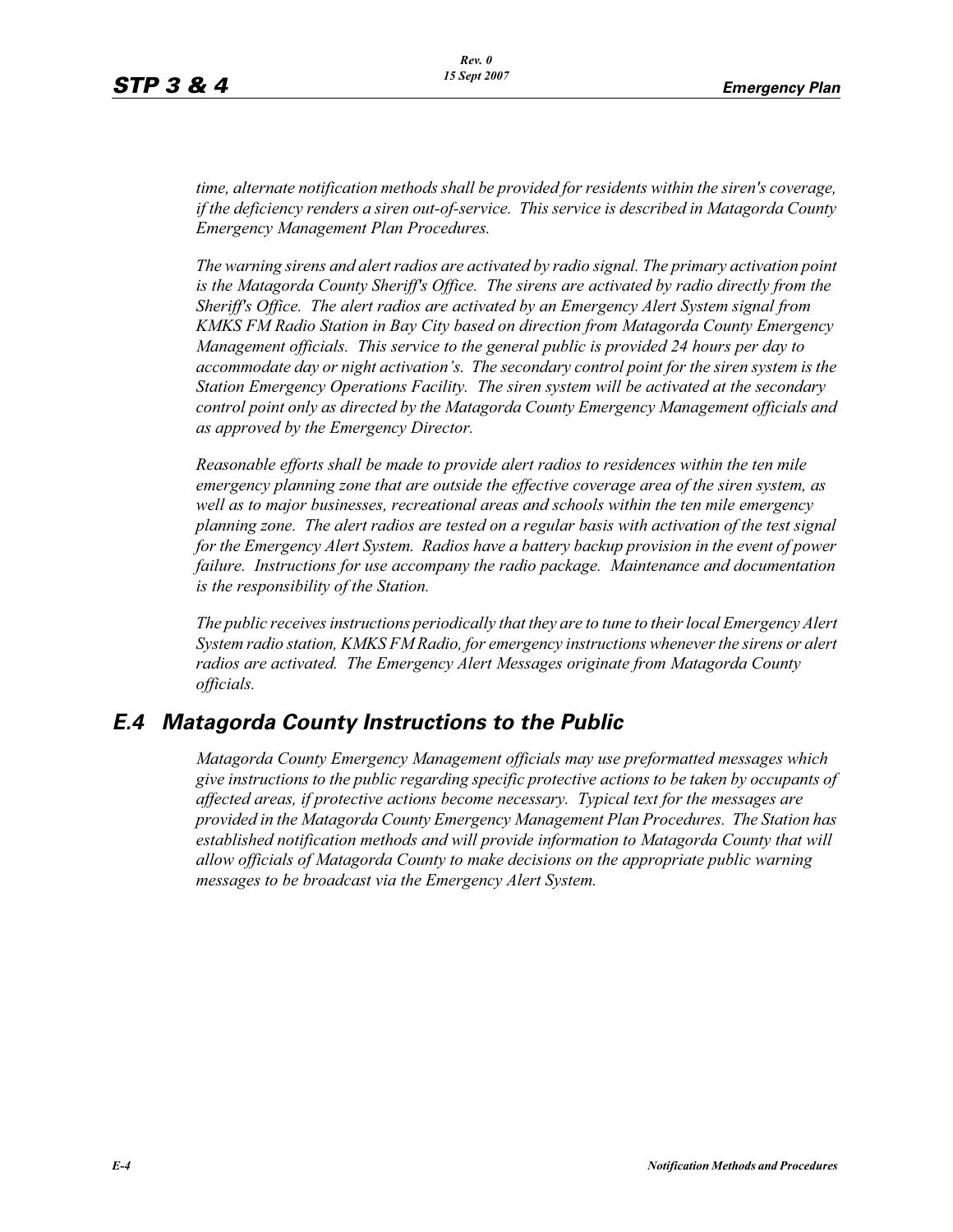*time, alternate notification methods shall be provided for residents within the siren's coverage, if the deficiency renders a siren out-of-service. This service is described in Matagorda County Emergency Management Plan Procedures.*

*The warning sirens and alert radios are activated by radio signal. The primary activation point is the Matagorda County Sheriff's Office. The sirens are activated by radio directly from the Sheriff's Office. The alert radios are activated by an Emergency Alert System signal from KMKS FM Radio Station in Bay City based on direction from Matagorda County Emergency Management officials. This service to the general public is provided 24 hours per day to accommodate day or night activation's. The secondary control point for the siren system is the Station Emergency Operations Facility. The siren system will be activated at the secondary control point only as directed by the Matagorda County Emergency Management officials and as approved by the Emergency Director.* 

*Reasonable efforts shall be made to provide alert radios to residences within the ten mile emergency planning zone that are outside the effective coverage area of the siren system, as well as to major businesses, recreational areas and schools within the ten mile emergency planning zone. The alert radios are tested on a regular basis with activation of the test signal for the Emergency Alert System. Radios have a battery backup provision in the event of power failure. Instructions for use accompany the radio package. Maintenance and documentation is the responsibility of the Station.* 

*The public receives instructions periodically that they are to tune to their local Emergency Alert System radio station, KMKS FM Radio, for emergency instructions whenever the sirens or alert radios are activated. The Emergency Alert Messages originate from Matagorda County officials.* 

## *E.4 Matagorda County Instructions to the Public*

*Matagorda County Emergency Management officials may use preformatted messages which give instructions to the public regarding specific protective actions to be taken by occupants of affected areas, if protective actions become necessary. Typical text for the messages are provided in the Matagorda County Emergency Management Plan Procedures. The Station has established notification methods and will provide information to Matagorda County that will allow officials of Matagorda County to make decisions on the appropriate public warning messages to be broadcast via the Emergency Alert System.*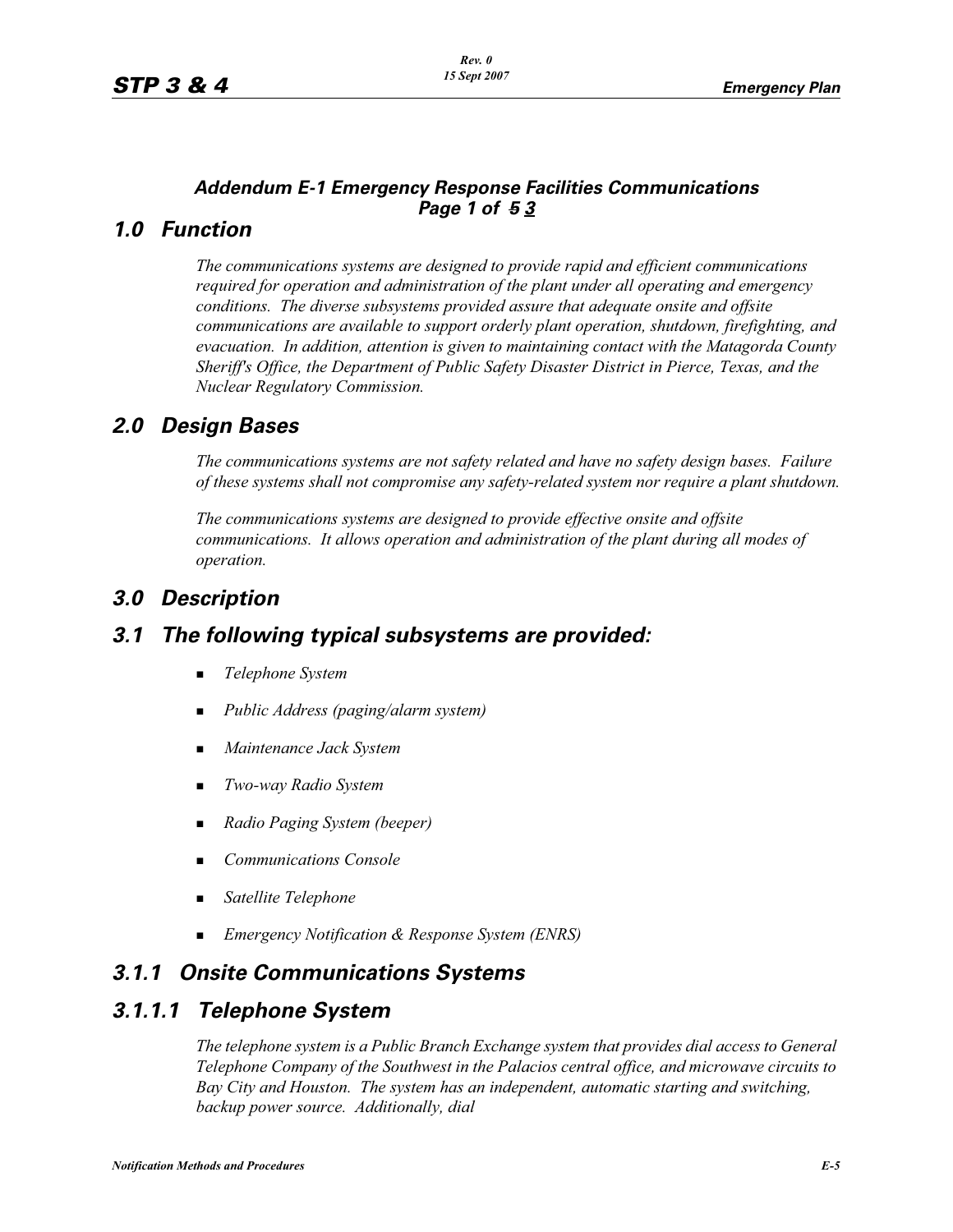#### *Addendum E-1 Emergency Response Facilities Communications Page 1 of 5 3*

#### *1.0 Function*

*The communications systems are designed to provide rapid and efficient communications required for operation and administration of the plant under all operating and emergency conditions. The diverse subsystems provided assure that adequate onsite and offsite communications are available to support orderly plant operation, shutdown, firefighting, and evacuation. In addition, attention is given to maintaining contact with the Matagorda County Sheriff's Office, the Department of Public Safety Disaster District in Pierce, Texas, and the Nuclear Regulatory Commission.*

#### *2.0 Design Bases*

*The communications systems are not safety related and have no safety design bases. Failure of these systems shall not compromise any safety-related system nor require a plant shutdown.*

*The communications systems are designed to provide effective onsite and offsite communications. It allows operation and administration of the plant during all modes of operation.*

## *3.0 Description*

#### *3.1 The following typical subsystems are provided:*

- -*Telephone System*
- -*Public Address (paging/alarm system)*
- -*Maintenance Jack System*
- -*Two-way Radio System*
- -*Radio Paging System (beeper)*
- -*Communications Console*
- -*Satellite Telephone*
- *Emergency Notification & Response System (ENRS)*

#### *3.1.1 Onsite Communications Systems*

#### *3.1.1.1 Telephone System*

*The telephone system is a Public Branch Exchange system that provides dial access to General Telephone Company of the Southwest in the Palacios central office, and microwave circuits to Bay City and Houston. The system has an independent, automatic starting and switching, backup power source. Additionally, dial*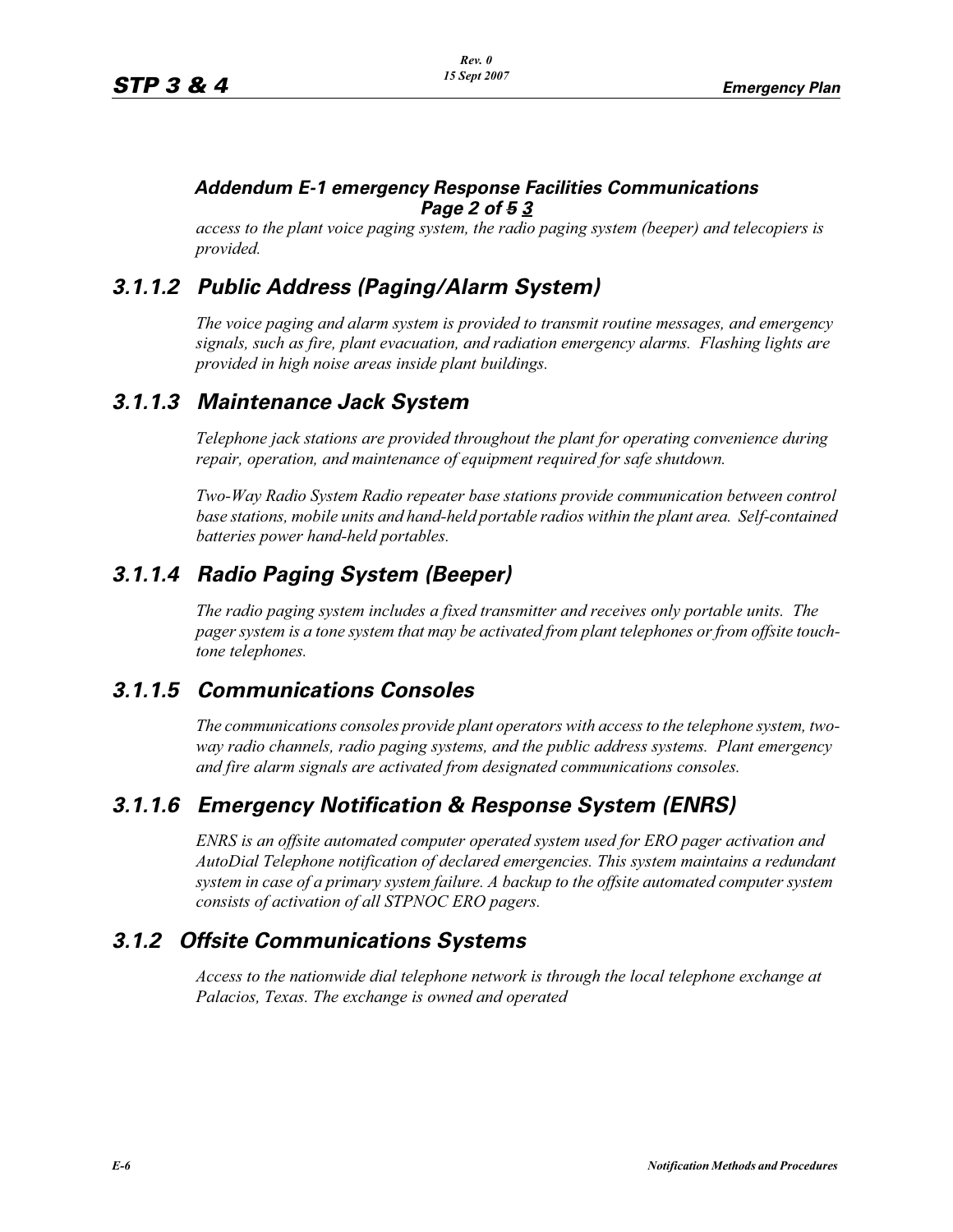#### *Addendum E-1 emergency Response Facilities Communications Page 2 of 5 3*

*access to the plant voice paging system, the radio paging system (beeper) and telecopiers is provided.*

## *3.1.1.2 Public Address (Paging/Alarm System)*

*The voice paging and alarm system is provided to transmit routine messages, and emergency signals, such as fire, plant evacuation, and radiation emergency alarms. Flashing lights are provided in high noise areas inside plant buildings.*

#### *3.1.1.3 Maintenance Jack System*

*Telephone jack stations are provided throughout the plant for operating convenience during repair, operation, and maintenance of equipment required for safe shutdown.* 

*Two-Way Radio System Radio repeater base stations provide communication between control base stations, mobile units and hand-held portable radios within the plant area. Self-contained batteries power hand-held portables.* 

## *3.1.1.4 Radio Paging System (Beeper)*

*The radio paging system includes a fixed transmitter and receives only portable units. The pager system is a tone system that may be activated from plant telephones or from offsite touchtone telephones.* 

## *3.1.1.5 Communications Consoles*

*The communications consoles provide plant operators with access to the telephone system, twoway radio channels, radio paging systems, and the public address systems. Plant emergency and fire alarm signals are activated from designated communications consoles.*

## *3.1.1.6 Emergency Notification & Response System (ENRS)*

*ENRS is an offsite automated computer operated system used for ERO pager activation and AutoDial Telephone notification of declared emergencies. This system maintains a redundant system in case of a primary system failure. A backup to the offsite automated computer system consists of activation of all STPNOC ERO pagers.*

## *3.1.2 Offsite Communications Systems*

*Access to the nationwide dial telephone network is through the local telephone exchange at Palacios, Texas. The exchange is owned and operated*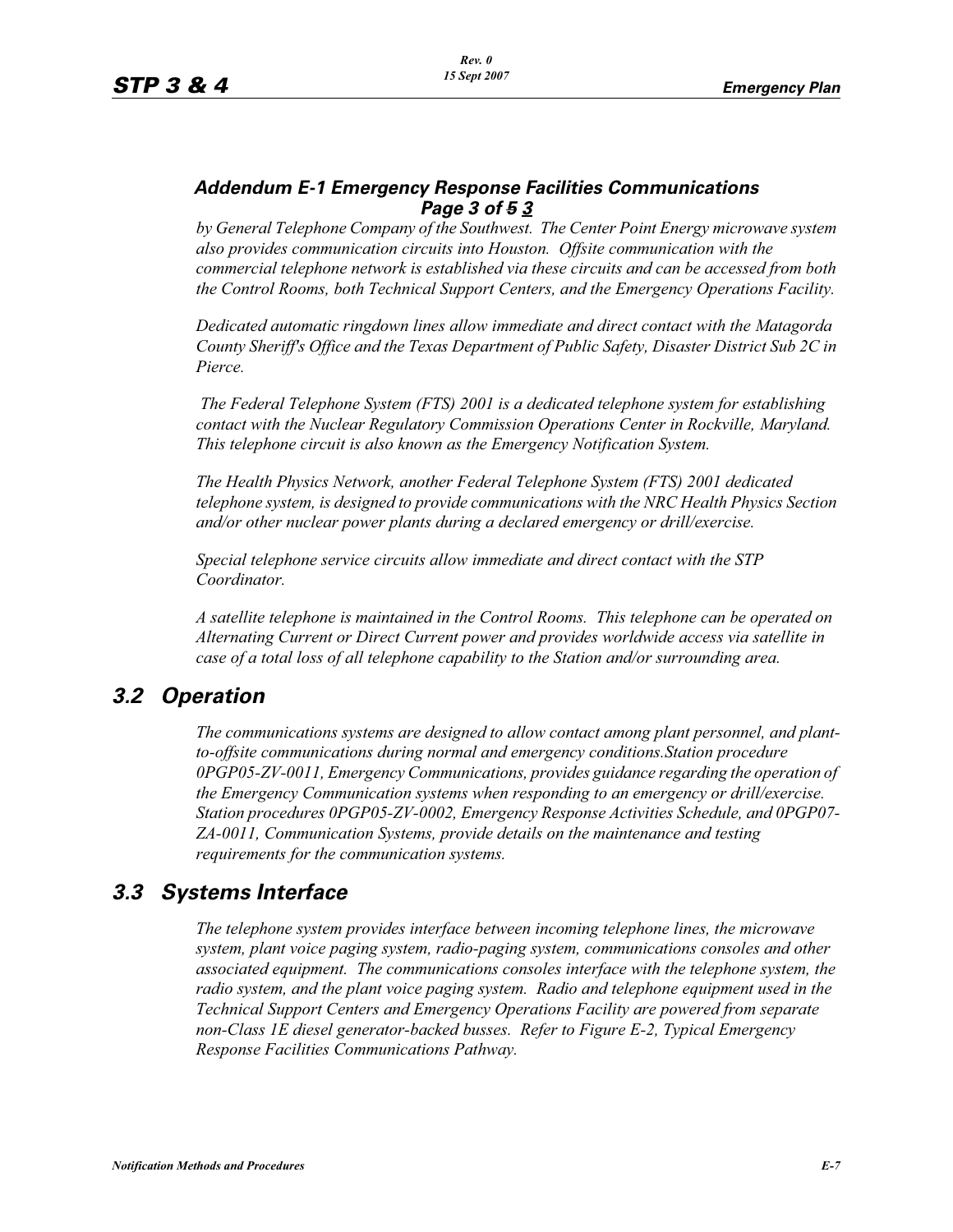#### *Addendum E-1 Emergency Response Facilities Communications Page 3 of 5 3*

*by General Telephone Company of the Southwest. The Center Point Energy microwave system also provides communication circuits into Houston. Offsite communication with the commercial telephone network is established via these circuits and can be accessed from both the Control Rooms, both Technical Support Centers, and the Emergency Operations Facility.*

*Dedicated automatic ringdown lines allow immediate and direct contact with the Matagorda County Sheriff's Office and the Texas Department of Public Safety, Disaster District Sub 2C in Pierce.*

 *The Federal Telephone System (FTS) 2001 is a dedicated telephone system for establishing contact with the Nuclear Regulatory Commission Operations Center in Rockville, Maryland. This telephone circuit is also known as the Emergency Notification System.*

*The Health Physics Network, another Federal Telephone System (FTS) 2001 dedicated telephone system, is designed to provide communications with the NRC Health Physics Section and/or other nuclear power plants during a declared emergency or drill/exercise.*

*Special telephone service circuits allow immediate and direct contact with the STP Coordinator.*

*A satellite telephone is maintained in the Control Rooms. This telephone can be operated on Alternating Current or Direct Current power and provides worldwide access via satellite in case of a total loss of all telephone capability to the Station and/or surrounding area.*

## *3.2 Operation*

*The communications systems are designed to allow contact among plant personnel, and plantto-offsite communications during normal and emergency conditions.Station procedure 0PGP05-ZV-0011, Emergency Communications, provides guidance regarding the operation of the Emergency Communication systems when responding to an emergency or drill/exercise. Station procedures 0PGP05-ZV-0002, Emergency Response Activities Schedule, and 0PGP07- ZA-0011, Communication Systems, provide details on the maintenance and testing requirements for the communication systems.*

#### *3.3 Systems Interface*

*The telephone system provides interface between incoming telephone lines, the microwave system, plant voice paging system, radio-paging system, communications consoles and other associated equipment. The communications consoles interface with the telephone system, the radio system, and the plant voice paging system. Radio and telephone equipment used in the Technical Support Centers and Emergency Operations Facility are powered from separate non-Class 1E diesel generator-backed busses. Refer to Figure E-2, Typical Emergency Response Facilities Communications Pathway.*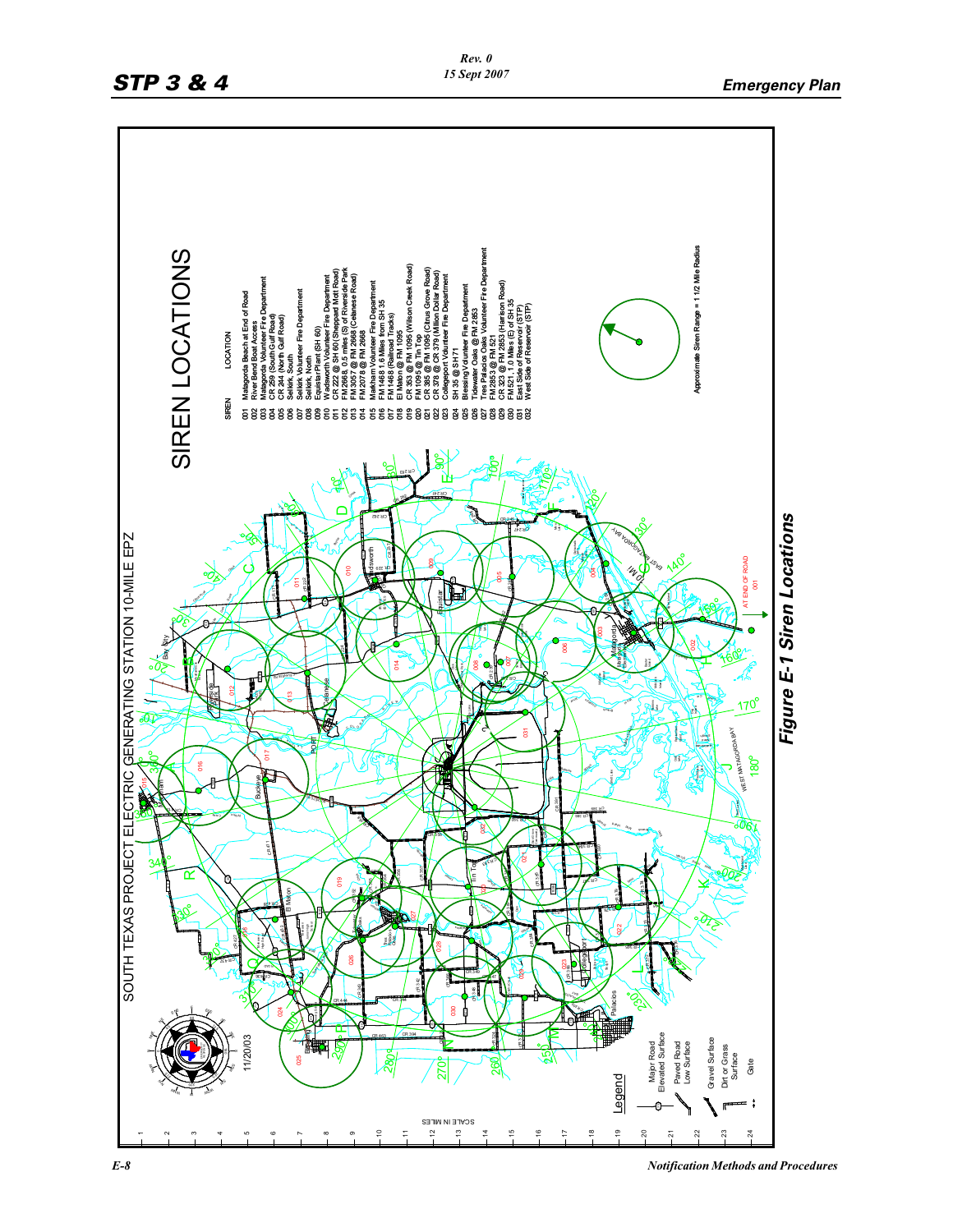

*E-8 Notification Methods and Procedures*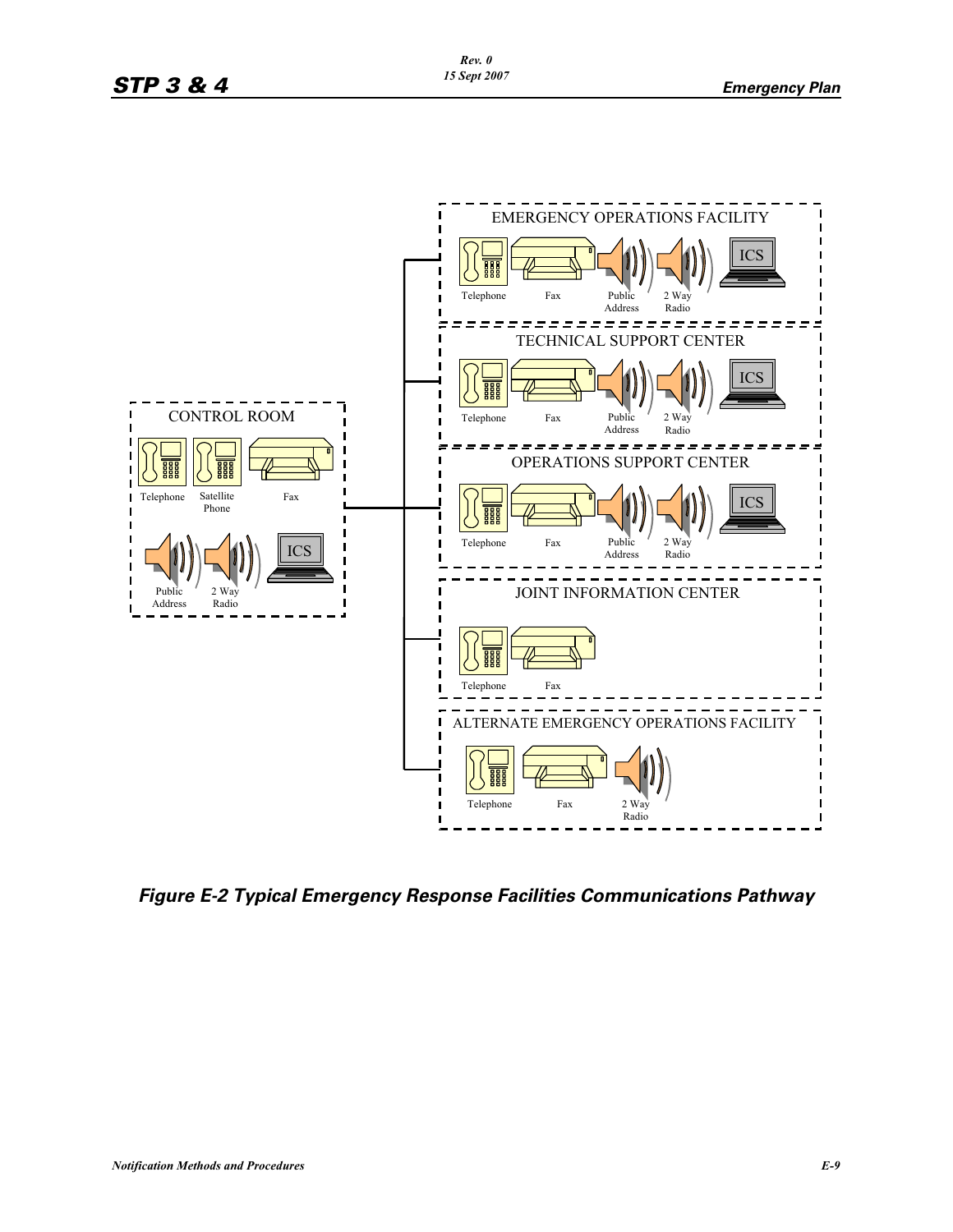

*Figure E-2 Typical Emergency Response Facilities Communications Pathway*

*Rev. 0 15 Sept 2007*